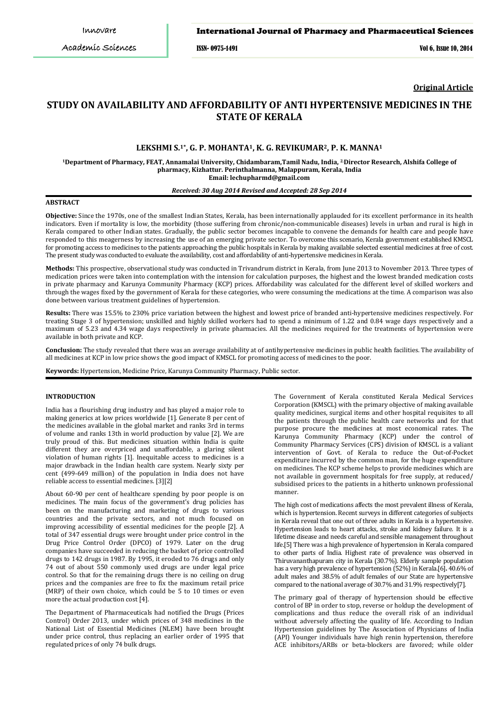### International Journal of Pharmacy and Pharmaceutical Sciences

ISSN- 0975-1491 Vol 6, Issue 10, 2014

**Original Article**

# **STUDY ON AVAILABILITY AND AFFORDABILITY OF ANTI HYPERTENSIVE MEDICINES IN THE STATE OF KERALA**

# **LEKSHMI S.1\*, G. P. MOHANTA1, K. G. REVIKUMAR2, P. K. MANNA<sup>1</sup>**

**<sup>1</sup>Department of Pharmacy, FEAT, Annamalai University, Chidambaram,Tamil Nadu, India, 2.Director Research, Alshifa College of pharmacy, Kizhattur. Perinthalmanna, Malappuram, Kerala, India Email: lechupharmd@gmail.com**

# *Received: 30 Aug 2014 Revised and Accepted: 28 Sep 2014*

# **ABSTRACT**

**Objective:** Since the 1970s, one of the smallest Indian States, Kerala, has been internationally applauded for its excellent performance in its health indicators. Even if mortality is low, the morbidity (those suffering from chronic/non-communicable diseases) levels in urban and rural is high in Kerala compared to other Indian states. Gradually, the public sector becomes incapable to convene the demands for health care and people have responded to this meagerness by increasing the use of an emerging private sector. To overcome this scenario, Kerala government established KMSCL for promoting access to medicines to the patients approaching the public hospitals in Kerala by making available selected essential medicines at free of cost. The present study was conducted to evaluate the availability, cost and affordability of anti-hypertensive medicines in Kerala.

**Methods:** This prospective, observational study was conducted in Trivandrum district in Kerala, from June 2013 to November 2013. Three types of medication prices were taken into contemplation with the intension for calculation purposes, the highest and the lowest branded medication costs in private pharmacy and Karunya Community Pharmacy (KCP) prices. Affordability was calculated for the different level of skilled workers and through the wages fixed by the government of Kerala for these categories, who were consuming the medications at the time. A comparison was also done between various treatment guidelines of hypertension.

**Results:** There was 15.5% to 230% price variation between the highest and lowest price of branded anti-hypertensive medicines respectively. For treating Stage 3 of hypertension; unskilled and highly skilled workers had to spend a minimum of 1.22 and 0.84 wage days respectively and a maximum of 5.23 and 4.34 wage days respectively in private pharmacies. All the medicines required for the treatments of hypertension were available in both private and KCP.

**Conclusion:** The study revealed that there was an average availability at of antihypertensive medicines in public health facilities. The availability of all medicines at KCP in low price shows the good impact of KMSCL for promoting access of medicines to the poor.

**Keywords:** Hypertension, Medicine Price, Karunya Community Pharmacy, Public sector.

## **INTRODUCTION**

India has a flourishing drug industry and has played a major role to making generics at low prices worldwide [1]. Generate 8 per cent of the medicines available in the global market and ranks 3rd in terms of volume and ranks 13th in world production by value [2]. We are truly proud of this. But medicines situation within India is quite different they are overpriced and unaffordable, a glaring silent violation of human rights [1]. Inequitable access to medicines is a major drawback in the Indian health care system. Nearly sixty per cent (499-649 million) of the population in India does not have reliable access to essential medicines. [3][2]

About 60-90 per cent of healthcare spending by poor people is on medicines. The main focus of the government's drug policies has been on the manufacturing and marketing of drugs to various countries and the private sectors, and not much focused on improving accessibility of essential medicines for the people [2]. A total of 347 essential drugs were brought under price control in the Drug Price Control Order (DPCO) of 1979. Later on the drug companies have succeeded in reducing the basket of price controlled drugs to 142 drugs in 1987. By 1995, it eroded to 76 drugs and only 74 out of about 550 commonly used drugs are under legal price control. So that for the remaining drugs there is no ceiling on drug prices and the companies are free to fix the maximum retail price (MRP) of their own choice, which could be 5 to 10 times or even more the actual production cost [4].

The Department of Pharmaceuticals had notified the Drugs (Prices Control) Order 2013, under which prices of 348 medicines in the National List of Essential Medicines (NLEM) have been brought under price control, thus replacing an earlier order of 1995 that regulated prices of only 74 bulk drugs.

The Government of Kerala constituted Kerala Medical Services Corporation (KMSCL) with the primary objective of making available quality medicines, surgical items and other hospital requisites to all the patients through the public health care networks and for that purpose procure the medicines at most economical rates. The Karunya Community Pharmacy (KCP) under the control of Community Pharmacy Services (CPS) division of KMSCL is a valiant intervention of Govt. of Kerala to reduce the Out-of-Pocket expenditure incurred by the common man, for the huge expenditure on medicines. The KCP scheme helps to provide medicines which are not available in government hospitals for free supply, at reduced/ subsidised prices to the patients in a hitherto unknown professional manner.

The high cost of medications affects the most prevalent illness of Kerala, which is hypertension. Recent surveys in different categories of subjects in Kerala reveal that one out of three adults in Kerala is a hypertensive. Hypertension leads to heart attacks, stroke and kidney failure. It is a lifetime disease and needs careful and sensible management throughout life.[5] There was a high prevalence of hypertension in Kerala compared to other parts of India. Highest rate of prevalence was observed in Thiruvananthapuram city in Kerala (30.7%). Elderly sample population has a very high prevalence of hypertension (52%) in Kerala.[6]. 40.6% of adult males and 38.5% of adult females of our State are hypertensive compared to the national average of 30.7% and 31.9% respectively[7].

The primary goal of therapy of hypertension should be effective control of BP in order to stop, reverse or holdup the development of complications and thus reduce the overall risk of an individual without adversely affecting the quality of life. According to Indian Hypertension guidelines by The Association of Physicians of India (API) Younger individuals have high renin hypertension, therefore ACE inhibitors/ARBs or beta-blockers are favored; while older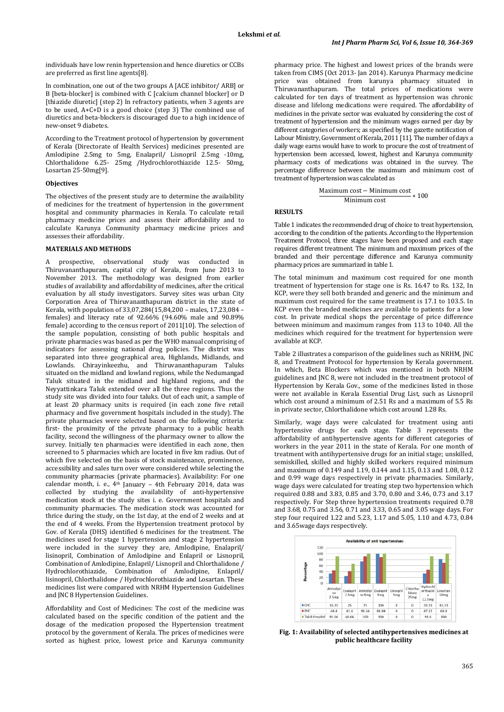individuals have low renin hypertension and hence diuretics or CCBs are preferred as first line agents[8].

In combination, one out of the two groups A [ACE inhibitor/ ARB] or B [beta-blocker] is combined with C [calcium channel blocker] or D [thiazide diuretic] (step 2) In refractory patients, when 3 agents are to be used, A+C+D is a good choice (step 3) The combined use of diuretics and beta-blockers is discouraged due to a high incidence of new-onset 9 diabetes.

According to the Treatment protocol of hypertension by government of Kerala (Directorate of Health Services) medicines presented are Amlodipine 2.5mg to 5mg, Enalapril/ Lisnopril 2.5mg -10mg, Chlorthalidone 6.25- 25mg /Hydrochlorothiazide 12.5- 50mg, Losartan 25-50mg[9].

# **Objectives**

The objectives of the present study are to determine the availability of medicines for the treatment of hypertension in the government hospital and community pharmacies in Kerala. To calculate retail pharmacy medicine prices and assess their affordability and to calculate Karunya Community pharmacy medicine prices and assesses their affordability.

#### **MATERIALS AND METHODS**

A prospective, observational study was conducted in Thiruvananthapuram, capital city of Kerala, from June 2013 to November 2013. The methodology was designed from earlier studies of availability and affordability of medicines, after the critical evaluation by all study investigators. Survey sites was urban City Corporation Area of Thiruvananthapuram district in the state of Kerala, with population of 33,07,284(15,84,200 – males, 17,23,084 – females) and literacy rate of 92.66% (94.60% male and 90.89% female) according to the census report of 2011[10]. The selection of the sample population, consisting of both public hospitals and private pharmacies was based as per the WHO manual comprising of indicators for assessing national drug policies. The district was separated into three geographical area, Highlands, Midlands, and Lowlands. Chirayinkeezhu, and Thiruvananthapuram Taluks situated on the midland and lowland regions, while the Nedumangad Taluk situated in the midland and highland regions, and the Neyyattinkara Taluk extended over all the three regions. Thus the study site was divided into four taluks. Out of each unit, a sample of at least 20 pharmacy units is required (in each zone five retail pharmacy and five government hospitals included in the study). The private pharmacies were selected based on the following criteria: first- the proximity of the private pharmacy to a public health facility, second the willingness of the pharmacy owner to allow the survey. Initially ten pharmacies were identified in each zone, then screened to 5 pharmacies which are located in five km radius. Out of which five selected on the basis of stock maintenance, prominence, accessibility and sales turn over were considered while selecting the community pharmacies (private pharmacies). Availability: For one calendar month, i. e., 4th January – 4th February 2014, data was collected by studying the availability of anti-hypertensive medication stock at the study sites i. e. Government hospitals and community pharmacies. The medication stock was accounted for thrice during the study, on the 1st day, at the end of 2 weeks and at the end of 4 weeks. From the Hypertension treatment protocol by Gov. of Kerala (DHS) identified 6 medicines for the treatment. The medicines used for stage 1 hypertension and stage 2 hypertension were included in the survey they are, Amlodipine, Enalapril/ lisinopril, Combination of Amlodipine and Enlapril or Lisnopril, Combination of Amlodipine, Enlapril/ Lisnopril and Chlorthalidone / Hydrochlorothiazide, Combination of Amlodipine, Enlapril/ lisinopril, Chlorthalidone / Hydrochlorothiazide and Losartan. These medicines list were compared with NRHM Hypertension Guidelines and JNC 8 Hypertension Guidelines.

Affordability and Cost of Medicines: The cost of the medicine was calculated based on the specific condition of the patient and the dosage of the medication proposed the Hypertension treatment protocol by the government of Kerala. The prices of medicines were sorted as highest price, lowest price and Karunya community

pharmacy price. The highest and lowest prices of the brands were taken from CIMS (Oct 2013- Jan 2014). Karunya Pharmacy medicine price was obtained from karunya pharmacy situated in Thiruvananthapuram. The total prices of medications were calculated for ten days of treatment as hypertension was chronic disease and lifelong medications were required. The affordability of medicines in the private sector was evaluated by considering the cost of treatment of hypertension and the minimum wages earned per day by different categories of workers; as specified by the gazette notification of Labour Ministry, Government of Kerala, 2011 [11]. The number of days a daily wage earns would have to work to procure the cost of treatment of hypertension been accessed, lowest, highest and Karunya community pharmacy costs of medications was obtained in the survey. The percentage difference between the maximum and minimum cost of treatment of hypertension was calculated as

Maximum cost – Minimum cost  
Minimum cost  

$$
* 100
$$

## **RESULTS**

Table 1 indicates the recommended drug of choice to treat hypertension, according to the condition of the patients. According to the Hypertension Treatment Protocol, three stages have been proposed and each stage requires different treatment. The minimum and maximum prices of the branded and their percentage difference and Karunya community pharmacy prices are summarized in table 1.

The total minimum and maximum cost required for one month treatment of hypertension for stage one is Rs. 16.47 to Rs. 132, In KCP, were they sell both branded and generic and the minimum and maximum cost required for the same treatment is 17.1 to 103.5. In KCP even the branded medicines are available to patients for a low cost. In private medical shops the percentage of price difference between minimum and maximum ranges from 113 to 1040. All the medicines which required for the treatment for hypertension were available at KCP.

Table 2 illustrates a comparison of the guidelines such as NRHM, JNC 8, and Treatment Protocol for hypertension by Kerala government. In which, Beta Blockers which was mentioned in both NRHM guidelines and JNC 8, were not included in the treatment protocol of Hypertension by Kerala Gov., some of the medicines listed in those were not available in Kerala Essential Drug List, such as Lisnopril which cost around a minimum of 2.51 Rs and a maximum of 5.5 Rs in private sector, Chlorthalidone which cost around 1.28 Rs.

Similarly, wage days were calculated for treatment using anti hypertensive drugs for each stage. Table 3 represents the affordability of antihypertensive agents for different categories of workers in the year 2011 in the state of Kerala. For one month of treatment with antihypertensive drugs for an initial stage; unskilled, semiskilled, skilled and highly skilled workers required minimum and maximum of 0.149 and 1.19, 0.144 and 1.15, 0.13 and 1.08, 0.12 and 0.99 wage days respectively in private pharmacies. Similarly, wage days were calculated for treating step two hypertension which required 0.88 and 3.83, 0.85 and 3.70, 0.80 and 3.46, 0.73 and 3.17 respectively. For Step three hypertension treatments required 0.78 and 3.68, 0.75 and 3.56, 0.71 and 3.33, 0.65 and 3.05 wage days. For step four required 1.22 and 5.23, 1.17 and 5.05, 1.10 and 4.73, 0.84 and 3.65wage days respectively.



**Fig. 1: Availability of selected antihypertensives medicines at public healthcare facility**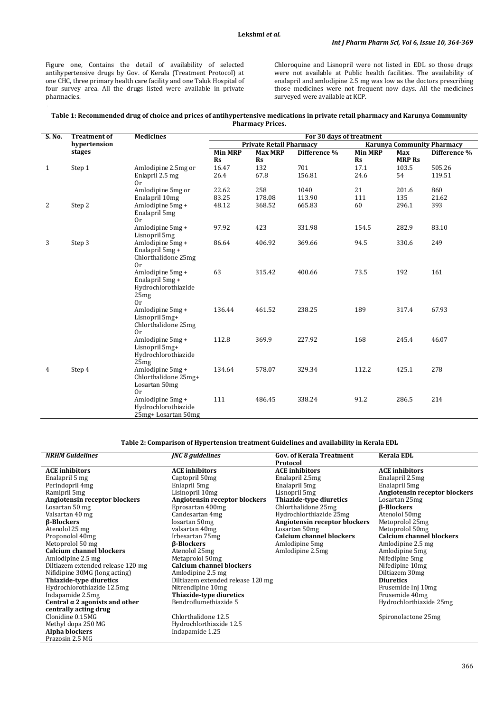Figure one, Contains the detail of availability of selected antihypertensive drugs by Gov. of Kerala (Treatment Protocol) at one CHC, three primary health care facility and one Taluk Hospital of four survey area. All the drugs listed were available in private pharmacies.

Chloroquine and Lisnopril were not listed in EDL so those drugs were not available at Public health facilities. The availability of enalapril and amlodipine 2.5 mg was low as the doctors prescribing those medicines were not frequent now days. All the medicines surveyed were available at KCP.

### **Table 1: Recommended drug of choice and prices of antihypertensive medications in private retail pharmacy and Karunya Community Pharmacy Prices.**

| S. No.       | <b>Treatment of</b><br>hypertension<br>stages | <b>Medicines</b>                        | For 30 days of treatment       |                |                                   |                |               |                  |
|--------------|-----------------------------------------------|-----------------------------------------|--------------------------------|----------------|-----------------------------------|----------------|---------------|------------------|
|              |                                               |                                         | <b>Private Retail Pharmacy</b> |                | <b>Karunya Community Pharmacy</b> |                |               |                  |
|              |                                               |                                         | <b>Min MRP</b>                 | <b>Max MRP</b> | Difference %                      | <b>Min MRP</b> | Max           | Difference %     |
|              |                                               |                                         | $\mathbf{Rs}$                  | $\mathbf{Rs}$  |                                   | $\mathbf{Rs}$  | <b>MRP Rs</b> |                  |
| $\mathbf{1}$ | Step 1                                        | Amlodipine 2.5mg or<br>Enlapril 2.5 mg  | 16.47<br>26.4                  | 132<br>67.8    | 701<br>156.81                     | 17.1<br>24.6   | 103.5<br>54   | 505.26<br>119.51 |
|              |                                               | 0r                                      |                                |                |                                   |                |               |                  |
|              |                                               | Amlodipine 5mg or                       | 22.62                          | 258            | 1040                              | 21             | 201.6         | 860              |
|              |                                               | Enalapril 10mg                          | 83.25                          | 178.08         | 113.90                            | 111            | 135           | 21.62            |
| 2            | Step 2                                        | Amlodipine 5mg +<br>Enalapril 5mg<br>0r | 48.12                          | 368.52         | 665.83                            | 60             | 296.1         | 393              |
|              |                                               | Amlodipine 5mg +                        | 97.92                          | 423            | 331.98                            | 154.5          | 282.9         | 83.10            |
|              |                                               | Lisnopril 5mg                           |                                |                |                                   |                |               |                  |
| 3            | Step 3                                        | Amlodipine 5mg +                        | 86.64                          | 406.92         | 369.66                            | 94.5           | 330.6         | 249              |
|              |                                               | Enalapril 5mg +<br>Chlorthalidone 25mg  |                                |                |                                   |                |               |                  |
|              |                                               | 0r                                      |                                |                |                                   |                |               |                  |
|              |                                               | Amlodipine 5mg +                        | 63                             | 315.42         | 400.66                            | 73.5           | 192           | 161              |
|              |                                               | Enalapril 5mg +                         |                                |                |                                   |                |               |                  |
|              |                                               | Hydrochlorothiazide                     |                                |                |                                   |                |               |                  |
|              |                                               | 25mg<br>0r                              |                                |                |                                   |                |               |                  |
|              |                                               | Amlodipine 5mg +                        | 136.44                         | 461.52         | 238.25                            | 189            | 317.4         | 67.93            |
|              |                                               | Lisnopril 5mg+                          |                                |                |                                   |                |               |                  |
|              |                                               | Chlorthalidone 25mg                     |                                |                |                                   |                |               |                  |
|              |                                               | 0r                                      |                                |                |                                   |                |               |                  |
|              |                                               | Amlodipine 5mg +                        | 112.8                          | 369.9          | 227.92                            | 168            | 245.4         | 46.07            |
|              |                                               | Lisnopril 5mg+<br>Hydrochlorothiazide   |                                |                |                                   |                |               |                  |
|              |                                               | 25mg                                    |                                |                |                                   |                |               |                  |
| 4            | Step 4                                        | Amlodipine 5mg +                        | 134.64                         | 578.07         | 329.34                            | 112.2          | 425.1         | 278              |
|              |                                               | Chlorthalidone 25mg+                    |                                |                |                                   |                |               |                  |
|              |                                               | Losartan 50mg                           |                                |                |                                   |                |               |                  |
|              |                                               | 0r                                      |                                |                |                                   |                |               |                  |
|              |                                               | Amlodipine 5mg +<br>Hydrochlorothiazide | 111                            | 486.45         | 338.24                            | 91.2           | 286.5         | 214              |
|              |                                               |                                         |                                |                |                                   |                |               |                  |
|              |                                               | 25mg+ Losartan 50mg                     |                                |                |                                   |                |               |                  |

**Table 2: Comparison of Hypertension treatment Guidelines and availability in Kerala EDL**

| <b>NRHM Guidelines</b>                | <b>JNC 8 guidelines</b>           | <b>Gov. of Kerala Treatment</b> | <b>Kerala EDL</b>               |
|---------------------------------------|-----------------------------------|---------------------------------|---------------------------------|
|                                       |                                   | <b>Protocol</b>                 |                                 |
| <b>ACE</b> inhibitors                 | <b>ACE</b> inhibitors             | <b>ACE</b> inhibitors           | <b>ACE</b> inhibitors           |
| Enalapril 5 mg                        | Captopril 50mg                    | Enalapril 2.5mg                 | Enalapril 2.5mg                 |
| Perindopril 4mg                       | Enlapril 5mg                      | Enalapril 5mg                   | Enalapril 5mg                   |
| Ramipril 5mg                          | Lisinopril 10mg                   | Lisnopril 5mg                   | Angiotensin receptor blockers   |
| Angiotensin receptor blockers         | Angiotensin receptor blockers     | Thiazide-type diuretics         | Losartan 25mg                   |
| Losartan 50 mg                        | Eprosartan 400mg                  | Chlorthalidone 25mg             | <b><i>B-Blockers</i></b>        |
| Valsartan 40 mg                       | Candesartan 4mg                   | Hydrochlorthiazide 25mg         | Atenolol 50mg                   |
| β-Blockers                            | losartan 50mg                     | Angiotensin receptor blockers   | Metoprolol 25mg                 |
| Atenolol 25 mg                        | valsartan 40mg                    | Losartan 50mg                   | Metoprolol 50mg                 |
| Proponolol 40mg                       | Irbesartan 75mg                   | <b>Calcium channel blockers</b> | <b>Calcium channel blockers</b> |
| Metoprolol 50 mg                      | <b><i>B-Blockers</i></b>          | Amlodipine 5mg                  | Amlodipine 2.5 mg               |
| <b>Calcium channel blockers</b>       | Atenolol 25mg                     | Amlodipine 2.5mg                | Amlodipine 5mg                  |
| Amlodipine 2.5 mg                     | Metaprolol 50mg                   |                                 | Nifedipine 5mg                  |
| Diltiazem extended release 120 mg     | <b>Calcium channel blockers</b>   |                                 | Nifedipine 10mg                 |
| Nifidipine 30MG (long acting)         | Amlodipine 2.5 mg                 |                                 | Diltiazem 30mg                  |
| Thiazide-type diuretics               | Diltiazem extended release 120 mg |                                 | <b>Diuretics</b>                |
| Hydrochlorothiazide 12.5mg            | Nitrendipine 10mg                 |                                 | Frusemide Inj 10mg              |
| Indapamide 2.5mg                      | Thiazide-type diuretics           |                                 | Frusemide 40mg                  |
| Central $\alpha$ 2 agonists and other | Bendroflumethiazide 5             |                                 | Hydrochlorthiazide 25mg         |
| centrally acting drug                 |                                   |                                 |                                 |
| Clonidine 0.15MG                      | Chlorthalidone 12.5               |                                 | Spironolactone 25mg             |
| Methyl dopa 250 MG                    | Hydrochlorthiazide 12.5           |                                 |                                 |
| Alpha blockers                        | Indapamide 1.25                   |                                 |                                 |
| Prazosin 2.5 MG                       |                                   |                                 |                                 |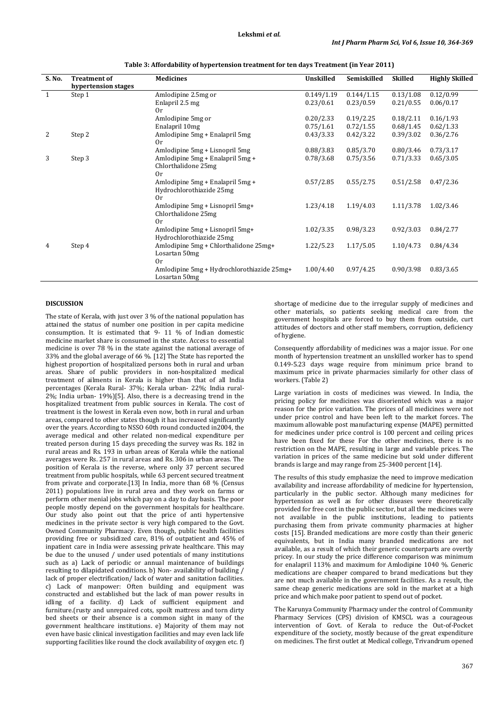| S. No. | <b>Treatment of</b> | <b>Medicines</b>                           | Unskilled  | Semiskilled | <b>Skilled</b> | <b>Highly Skilled</b> |
|--------|---------------------|--------------------------------------------|------------|-------------|----------------|-----------------------|
|        | hypertension stages |                                            |            |             |                |                       |
| 1      | Step 1              | Amlodipine 2.5mg or                        | 0.149/1.19 | 0.144/1.15  | 0.13/1.08      | 0.12/0.99             |
|        |                     | Enlapril 2.5 mg                            | 0.23/0.61  | 0.23/0.59   | 0.21/0.55      | 0.06/0.17             |
|        |                     | 0r                                         |            |             |                |                       |
|        |                     | Amlodipine 5mg or                          | 0.20/2.33  | 0.19/2.25   | 0.18/2.11      | 0.16/1.93             |
|        |                     | Enalapril 10mg                             | 0.75/1.61  | 0.72/1.55   | 0.68/1.45      | 0.62/1.33             |
| 2      | Step 2              | Amlodipine 5mg + Enalapril 5mg             | 0.43/3.33  | 0.42/3.22   | 0.39/3.02      | 0.36/2.76             |
|        |                     | 0r                                         |            |             |                |                       |
|        |                     | Amlodipine 5mg + Lisnopril 5mg             | 0.88/3.83  | 0.85/3.70   | 0.80/3.46      | 0.73/3.17             |
| 3      | Step 3              | Amlodipine 5mg + Enalapril 5mg +           | 0.78/3.68  | 0.75/3.56   | 0.71/3.33      | 0.65/3.05             |
|        |                     | Chlorthalidone 25mg                        |            |             |                |                       |
|        |                     | 0r                                         |            |             |                |                       |
|        |                     | Amlodipine 5mg + Enalapril 5mg +           | 0.57/2.85  | 0.55/2.75   | 0.51/2.58      | 0.47/2.36             |
|        |                     | Hydrochlorothiazide 25mg                   |            |             |                |                       |
|        |                     | 0r                                         |            |             |                |                       |
|        |                     | Amlodipine 5mg + Lisnopril 5mg+            | 1.23/4.18  | 1.19/4.03   | 1.11/3.78      | 1.02/3.46             |
|        |                     | Chlorthalidone 25mg                        |            |             |                |                       |
|        |                     | 0r                                         |            |             |                |                       |
|        |                     | Amlodipine 5mg + Lisnopril 5mg+            | 1.02/3.35  | 0.98/3.23   | 0.92/3.03      | 0.84/2.77             |
|        |                     | Hydrochlorothiazide 25mg                   |            |             |                |                       |
| 4      | Step 4              | Amlodipine 5mg + Chlorthalidone 25mg+      | 1.22/5.23  | 1.17/5.05   | 1.10/4.73      | 0.84/4.34             |
|        |                     | Losartan 50mg                              |            |             |                |                       |
|        |                     | 0r                                         |            |             |                |                       |
|        |                     | Amlodipine 5mg + Hydrochlorothiazide 25mg+ | 1.00/4.40  | 0.97/4.25   | 0.90/3.98      | 0.83/3.65             |
|        |                     | Losartan 50mg                              |            |             |                |                       |

**Table 3: Affordability of hypertension treatment for ten days Treatment (in Year 2011)**

# **DISCUSSION**

The state of Kerala, with just over 3 % of the national population has attained the status of number one position in per capita medicine consumption. It is estimated that  $9-11$  % of Indian domestic medicine market share is consumed in the state. Access to essential medicine is over 78 % in the state against the national average of 33% and the global average of 66 %. [12] The State has reported the highest proportion of hospitalized persons both in rural and urban areas. Share of public providers in non-hospitalized medical treatment of ailments in Kerala is higher than that of all India percentages (Kerala Rural- 37%; Kerala urban- 22%; India rural-2%; India urban- 19%)[5]. Also, there is a decreasing trend in the hospitalized treatment from public sources in Kerala. The cost of treatment is the lowest in Kerala even now, both in rural and urban areas, compared to other states though it has increased significantly over the years. According to NSSO 60th round conducted in2004, the average medical and other related non-medical expenditure per treated person during 15 days preceding the survey was Rs. 182 in rural areas and Rs. 193 in urban areas of Kerala while the national averages were Rs. 257 in rural areas and Rs. 306 in urban areas. The position of Kerala is the reverse, where only 37 percent secured treatment from public hospitals, while 63 percent secured treatment from private and corporate.[13] In India, more than 68 % (Census 2011) populations live in rural area and they work on farms or perform other menial jobs which pay on a day to day basis. The poor people mostly depend on the government hospitals for healthcare. Our study also point out that the price of anti hypertensive medicines in the private sector is very high compared to the Govt. Owned Community Pharmacy. Even though, public health facilities providing free or subsidized care, 81% of outpatient and 45% of inpatient care in India were assessing private healthcare. This may be due to the unused / under used potentials of many institutions such as a) Lack of periodic or annual maintenance of buildings resulting to dilapidated conditions. b) Non- availability of building / lack of proper electrification/ lack of water and sanitation facilities. c) Lack of manpower: Often building and equipment was constructed and established but the lack of man power results in idling of a facility. d) Lack of sufficient equipment and furniture.(rusty and unrepaired cots, spoilt mattress and torn dirty bed sheets or their absence is a common sight in many of the government healthcare institutions. e) Majority of them may not even have basic clinical investigation facilities and may even lack life supporting facilities like round the clock availability of oxygen etc. f)

shortage of medicine due to the irregular supply of medicines and other materials, so patients seeking medical care from the government hospitals are forced to buy them from outside, curt attitudes of doctors and other staff members, corruption, deficiency of hygiene.

Consequently affordability of medicines was a major issue. For one month of hypertension treatment an unskilled worker has to spend 0.149-5.23 days wage require from minimum price brand to maximum price in private pharmacies similarly for other class of workers. (Table 2)

Large variation in costs of medicines was viewed. In India, the pricing policy for medicines was disoriented which was a major reason for the price variation. The prices of all medicines were not under price control and have been left to the market forces. The maximum allowable post manufacturing expense (MAPE) permitted for medicines under price control is 100 percent and ceiling prices have been fixed for these For the other medicines, there is no restriction on the MAPE, resulting in large and variable prices. The variation in prices of the same medicine but sold under different brands is large and may range from 25-3400 percent [14].

The results of this study emphasize the need to improve medication availability and increase affordability of medicine for hypertension, particularly in the public sector. Although many medicines for hypertension as well as for other diseases were theoretically provided for free cost in the public sector, but all the medicines were not available in the public institutions, leading to patients purchasing them from private community pharmacies at higher costs [15]. Branded medications are more costly than their generic equivalents, but in India many branded medications are not available, as a result of which their generic counterparts are overtly pricey. In our study the price difference comparison was minimum for enalapril 113% and maximum for Amlodipine 1040 %. Generic medications are cheaper compared to brand medications but they are not much available in the government facilities. As a result, the same cheap generic medications are sold in the market at a high price and which make poor patient to spend out of pocket.

The Karunya Community Pharmacy under the control of Community Pharmacy Services (CPS) division of KMSCL was a courageous intervention of Govt. of Kerala to reduce the Out-of-Pocket expenditure of the society, mostly because of the great expenditure on medicines. The first outlet at Medical college, Trivandrum opened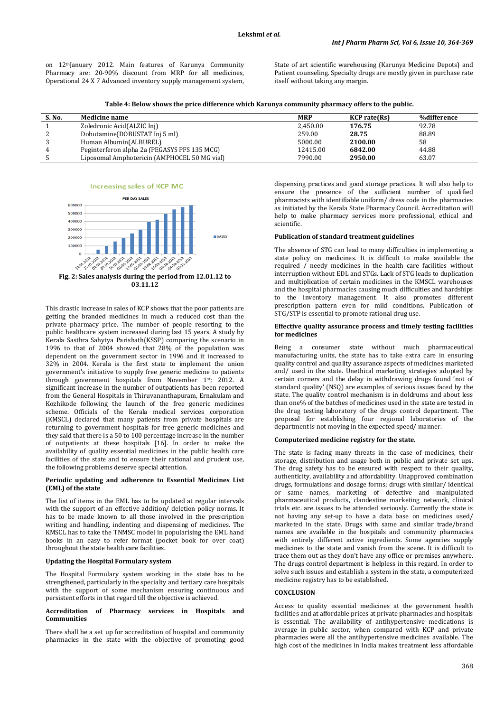on 12<sup>th</sup>January 2012. Main features of Karunya Community Pharmacy are: 20-90% discount from MRP for all medicines, Operational 24 X 7 Advanced inventory supply management system, State of art scientific warehousing (Karunya Medicine Depots) and Patient counseling. Specialty drugs are mostly given in purchase rate itself without taking any margin.

**Table 4: Below shows the price difference which Karunya community pharmacy offers to the public.**

| S. No. | <b>Medicine name</b>                         | <b>MRP</b> | <b>KCP</b> rate(Rs) | %difference |
|--------|----------------------------------------------|------------|---------------------|-------------|
|        | Zoledronic Acid(ALZIC Inj)                   | 2,450.00   | 176.75              | 92.78       |
|        | Dobutamine (DOBUSTAT Inj 5 ml)               | 259.00     | 28.75               | 88.89       |
|        | Human Albumin(ALBUREL)                       | 5000.00    | 2100.00             | 58          |
| 4      | Peginterferon alpha 2a (PEGASYS PFS 135 MCG) | 12415.00   | 6842.00             | 44.88       |
|        | Liposomal Amphotericin (AMPHOCEL 50 MG vial) | 7990.00    | 2950.00             | 63.07       |





**Fig. 2: Sales analysis during the period from 12.01.12 to 03.11.12**

This drastic increase in sales of KCP shows that the poor patients are getting the branded medicines in much a reduced cost than the private pharmacy price. The number of people resorting to the public healthcare system increased during last 15 years. A study by Kerala Sasthra Sahytya Parishath(KSSP) comparing the scenario in 1996 to that of 2004 showed that 28% of the population was dependent on the government sector in 1996 and it increased to 32% in 2004. Kerala is the first state to implement the union government's initiative to supply free generic medicine to patients through government hospitals from November 1st ; 2012. A significant increase in the number of outpatients has been reported from the General Hospitals in Thiruvananthapuram, Ernakulam and Kozhikode following the launch of the free generic medicines scheme. Officials of the Kerala medical services corporation (KMSCL) declared that many patients from private hospitals are returning to government hospitals for free generic medicines and they said that there is a 50 to 100 percentage increase in the number of outpatients at these hospitals [16]. In order to make the availability of quality essential medicines in the public health care facilities of the state and to ensure their rational and prudent use, the following problems deserve special attention.

### **Periodic updating and adherence to Essential Medicines List (EML) of the state**

The list of items in the EML has to be updated at regular intervals with the support of an effective addition/ deletion policy norms. It has to be made known to all those involved in the prescription writing and handling, indenting and dispensing of medicines. The KMSCL has to take the TNMSC model in popularising the EML hand books in an easy to refer format (pocket book for over coat) throughout the state health care facilities.

## **Updating the Hospital Formulary system**

The Hospital Formulary system working in the state has to be strengthened, particularly in the specialty and tertiary care hospitals with the support of some mechanism ensuring continuous and persistent efforts in that regard till the objective is achieved.

# **Accreditation of Pharmacy services in Hospitals and Communities**

There shall be a set up for accreditation of hospital and community pharmacies in the state with the objective of promoting good dispensing practices and good storage practices. It will also help to ensure the presence of the sufficient number of qualified pharmacists with identifiable uniform/ dress code in the pharmacies as initiated by the Kerala State Pharmacy Council. Accreditation will help to make pharmacy services more professional, ethical and scientific.

### **Publication of standard treatment guidelines**

The absence of STG can lead to many difficulties in implementing a state policy on medicines. It is difficult to make available the required / needy medicines in the health care facilities without interruption without EDL and STGs. Lack of STG leads to duplication and multiplication of certain medicines in the KMSCL warehouses and the hospital pharmacies causing much difficulties and hardships to the inventory management. It also promotes different prescription pattern even for mild conditions. Publication of STG/STP is essential to promote rational drug use.

#### **Effective quality assurance process and timely testing facilities for medicines**

Being a consumer state without much pharmaceutical manufacturing units, the state has to take extra care in ensuring quality control and quality assurance aspects of medicines marketed and/ used in the state. Unethical marketing strategies adopted by certain corners and the delay in withdrawing drugs found 'not of standard quality' (NSQ) are examples of serious issues faced by the state. The quality control mechanism is in doldrums and about less than one% of the batches of medicines used in the state are tested in the drug testing laboratory of the drugs control department. The proposal for establishing four regional laboratories of the department is not moving in the expected speed/ manner.

# **Computerized medicine registry for the state.**

The state is facing many threats in the case of medicines, their storage, distribution and usage both in public and private set ups. The drug safety has to be ensured with respect to their quality, authenticity, availability and affordability. Unapproved combination drugs, formulations and dosage forms; drugs with similar/ identical or same names, marketing of defective and manipulated pharmaceutical products, clandestine marketing network, clinical trials etc. are issues to be attended seriously. Currently the state is not having any set-up to have a data base on medicines used/ marketed in the state. Drugs with same and similar trade/brand names are available in the hospitals and community pharmacies with entirely different active ingredients. Some agencies supply medicines to the state and vanish from the scene. It is difficult to trace them out as they don't have any office or premises anywhere. The drugs control department is helpless in this regard. In order to solve such issues and establish a system in the state, a computerized medicine registry has to be established.

### **CONCLUSION**

Access to quality essential medicines at the government health facilities and at affordable prices at private pharmacies and hospitals is essential. The availability of antihypertensive medications is average in public sector, when compared with KCP and private pharmacies were all the antihypertensive medicines available. The high cost of the medicines in India makes treatment less affordable